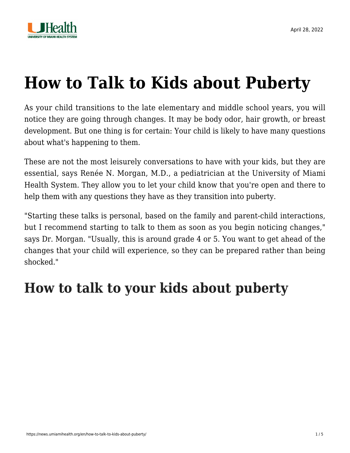

# **[How to Talk to Kids about Puberty](https://news.umiamihealth.org/en/how-to-talk-to-kids-about-puberty/)**

As your child transitions to the late elementary and middle school years, you will notice they are going through changes. It may be body odor, hair growth, or breast development. But one thing is for certain: Your child is likely to have many questions about what's happening to them.

These are not the most leisurely conversations to have with your kids, but they are essential, says [Renée N. Morgan, M.D.,](https://doctors.umiamihealth.org/provider/Renee+Nicole+Morgan/1991657?unified=Ren%C3%A9e%20N.%20Morgan%2C%20M.D.&sort=relevance&tt=51293f56-bbde-47e5-80a1-282054c69f66&ut=66f23840-13fd-4e6a-85e7-7690560ef315×tamp=2022-04-28T17%3A33%3A35.224Z&from=search-list) a pediatrician at the University of Miami Health System. They allow you to let your child know that you're open and there to help them with any questions they have as they transition into puberty.

"Starting these talks is personal, based on the family and parent-child interactions, but I recommend starting to talk to them as soon as you begin noticing changes," says Dr. Morgan. "Usually, this is around grade 4 or 5. You want to get ahead of the changes that your child will experience, so they can be prepared rather than being shocked."

#### **How to talk to your kids about puberty**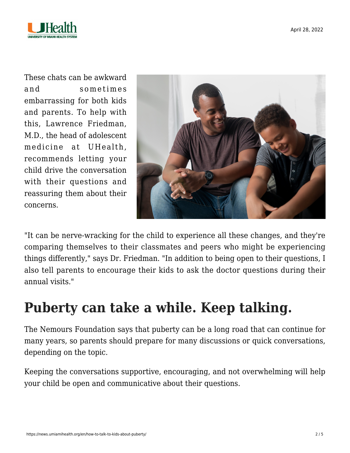

These chats can be awkward and sometimes embarrassing for both kids and parents. To help with this, [Lawrence Friedman,](https://doctors.umiamihealth.org/provider/Lawrence+B+Friedman/525161?unified=friedman&sort=networks%2Crelevance&from=search-list) [M.D.,](https://doctors.umiamihealth.org/provider/Lawrence+B+Friedman/525161?unified=friedman&sort=networks%2Crelevance&from=search-list) the head of adolescent medicine at UHealth, recommends letting your child drive the conversation with their questions and reassuring them about their concerns.



"It can be nerve-wracking for the child to experience all these changes, and they're comparing themselves to their classmates and peers who might be experiencing things differently," says Dr. Friedman. "In addition to being open to their questions, I also tell parents to encourage their kids to ask the doctor questions during their annual visits."

### **Puberty can take a while. Keep talking.**

The [Nemours Foundation](https://kidshealth.org/en/parents/talk-about-puberty.html) says that puberty can be a long road that can continue for many years, so parents should prepare for many discussions or quick conversations, depending on the topic.

Keeping the conversations supportive, encouraging, and not overwhelming will help your child be open and communicative about their questions.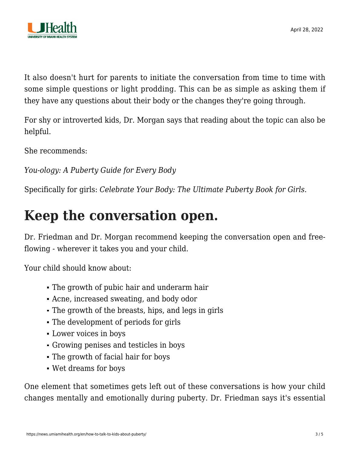

It also doesn't hurt for parents to initiate the conversation from time to time with some simple questions or light prodding. This can be as simple as asking them if they have any questions about their body or the changes they're going through.

For shy or introverted kids, Dr. Morgan says that reading about the topic can also be helpful.

She recommends:

*[You-ology: A Puberty Guide for Every Body](https://shop.aap.org/you-ology-paperback/)*

Specifically for girls: *[Celebrate Your Body: The Ultimate Puberty Book for Girls](https://www.amazon.com/Celebrate-Your-Body-Its-Changes/dp/164152166X)*.

#### **Keep the conversation open.**

Dr. Friedman and Dr. Morgan recommend keeping the conversation open and freeflowing - wherever it takes you and your child.

Your child should know about:

- The growth of pubic hair and underarm hair
- Acne, increased sweating, and body odor
- The growth of the breasts, hips, and legs in girls
- The development of periods for girls
- Lower voices in boys
- Growing penises and testicles in boys
- The growth of facial hair for boys
- Wet dreams for boys

One element that sometimes gets left out of these conversations is how your child changes mentally and emotionally during puberty. Dr. Friedman says it's essential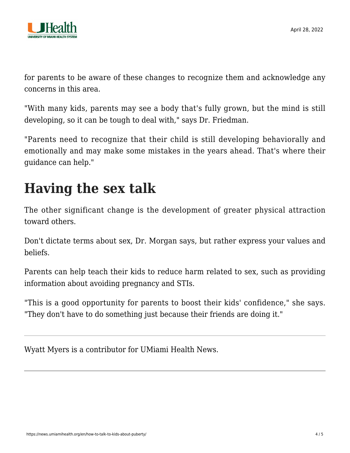

for parents to be aware of these changes to recognize them and acknowledge any concerns in this area.

"With many kids, parents may see a body that's fully grown, but the mind is still developing, so it can be tough to deal with," says Dr. Friedman.

"Parents need to recognize that their child is still developing behaviorally and emotionally and may make some mistakes in the years ahead. That's where their guidance can help."

## **Having the sex talk**

The other significant change is the development of greater physical attraction toward others.

Don't dictate terms about sex, Dr. Morgan says, but rather express your values and beliefs.

Parents can help teach their kids to reduce harm related to sex, such as providing information about avoiding pregnancy and STIs.

"This is a good opportunity for parents to boost their kids' confidence," she says. "They don't have to do something just because their friends are doing it."

Wyatt Myers is a contributor for UMiami Health News.